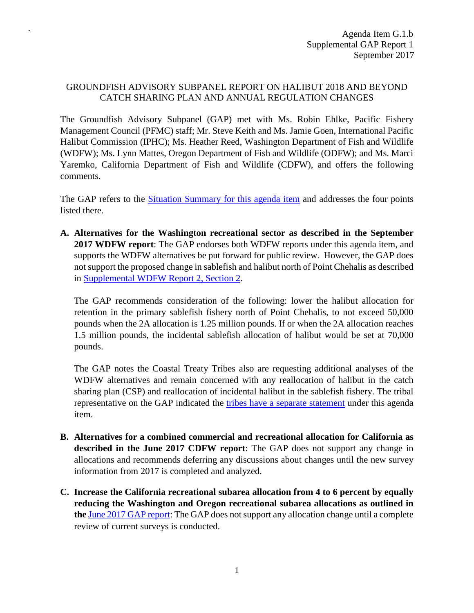## GROUNDFISH ADVISORY SUBPANEL REPORT ON HALIBUT 2018 AND BEYOND CATCH SHARING PLAN AND ANNUAL REGULATION CHANGES

`

The Groundfish Advisory Subpanel (GAP) met with Ms. Robin Ehlke, Pacific Fishery Management Council (PFMC) staff; Mr. Steve Keith and Ms. Jamie Goen, International Pacific Halibut Commission (IPHC); Ms. Heather Reed, Washington Department of Fish and Wildlife (WDFW); Ms. Lynn Mattes, Oregon Department of Fish and Wildlife (ODFW); and Ms. Marci Yaremko, California Department of Fish and Wildlife (CDFW), and offers the following comments.

The GAP refers to the [Situation Summary for this agenda item](http://www.pcouncil.org/wp-content/uploads/2017/08/G1__CSP_SitSum_SEPT2017BB.pdf) and addresses the four points listed there.

**A. Alternatives for the Washington recreational sector as described in the September 2017 WDFW report**: The GAP endorses both WDFW reports under this agenda item, and supports the WDFW alternatives be put forward for public review. However, the GAP does not support the proposed change in sablefish and halibut north of Point Chehalis as described in [Supplemental WDFW Report 2, Section 2.](http://www.pcouncil.org/wp-content/uploads/2017/09/G1b_Sup_WDFW_Rpt2_SEPT2017BB.pdf)

The GAP recommends consideration of the following: lower the halibut allocation for retention in the primary sablefish fishery north of Point Chehalis, to not exceed 50,000 pounds when the 2A allocation is 1.25 million pounds. If or when the 2A allocation reaches 1.5 million pounds, the incidental sablefish allocation of halibut would be set at 70,000 pounds.

The GAP notes the Coastal Treaty Tribes also are requesting additional analyses of the WDFW alternatives and remain concerned with any reallocation of halibut in the catch sharing plan (CSP) and reallocation of incidental halibut in the sablefish fishery. The tribal representative on the GAP indicated the [tribes have a separate statement](http://www.pcouncil.org/wp-content/uploads/2017/09/G1b_Sup_Tribal_Rpt1_SEPT2017BB.pdf) under this agenda item.

- **B. Alternatives for a combined commercial and recreational allocation for California as described in the June 2017 CDFW report**: The GAP does not support any change in allocations and recommends deferring any discussions about changes until the new survey information from 2017 is completed and analyzed.
- **C. Increase the California recreational subarea allocation from 4 to 6 percent by equally reducing the Washington and Oregon recreational subarea allocations as outlined in the** [June 2017 GAP report:](http://www.pcouncil.org/wp-content/uploads/2017/06/G1b_Sup_GAP_Rpt_Jun2017BB.pdf) The GAP does not support any allocation change until a complete review of current surveys is conducted.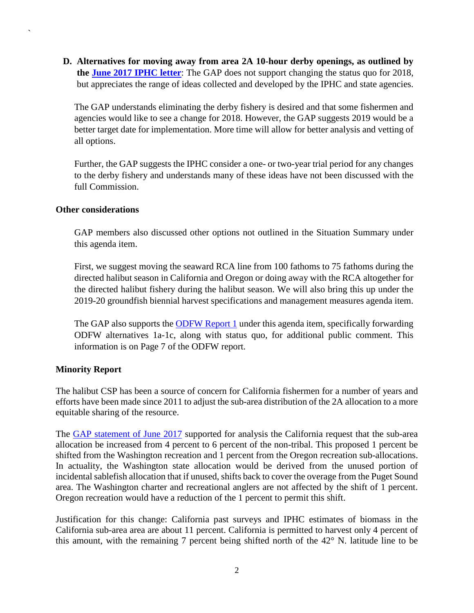**D. Alternatives for moving away from area 2A 10-hour derby openings, as outlined by the [June 2017 IPHC letter](http://www.pcouncil.org/wp-content/uploads/2017/06/G1a_Sup_IPHC_Ltr2_CommlDerbyFishery_Jun2017BB.pdf)**: The GAP does not support changing the status quo for 2018, but appreciates the range of ideas collected and developed by the IPHC and state agencies.

The GAP understands eliminating the derby fishery is desired and that some fishermen and agencies would like to see a change for 2018. However, the GAP suggests 2019 would be a better target date for implementation. More time will allow for better analysis and vetting of all options.

Further, the GAP suggests the IPHC consider a one- or two-year trial period for any changes to the derby fishery and understands many of these ideas have not been discussed with the full Commission.

## **Other considerations**

`

GAP members also discussed other options not outlined in the Situation Summary under this agenda item.

First, we suggest moving the seaward RCA line from 100 fathoms to 75 fathoms during the directed halibut season in California and Oregon or doing away with the RCA altogether for the directed halibut fishery during the halibut season. We will also bring this up under the 2019-20 groundfish biennial harvest specifications and management measures agenda item.

The GAP also supports the [ODFW Report 1](http://www.pcouncil.org/wp-content/uploads/2017/08/G1b_ODFW_Rpt1_SEPT2017BB.pdf) under this agenda item, specifically forwarding ODFW alternatives 1a-1c, along with status quo, for additional public comment. This information is on Page 7 of the ODFW report.

## **Minority Report**

The halibut CSP has been a source of concern for California fishermen for a number of years and efforts have been made since 2011 to adjust the sub-area distribution of the 2A allocation to a more equitable sharing of the resource.

The [GAP statement of June 2017](http://www.pcouncil.org/wp-content/uploads/2017/06/G1b_Sup_GAP_Rpt_Jun2017BB.pdf) supported for analysis the California request that the sub-area allocation be increased from 4 percent to 6 percent of the non-tribal. This proposed 1 percent be shifted from the Washington recreation and 1 percent from the Oregon recreation sub-allocations. In actuality, the Washington state allocation would be derived from the unused portion of incidental sablefish allocation that if unused, shifts back to cover the overage from the Puget Sound area. The Washington charter and recreational anglers are not affected by the shift of 1 percent. Oregon recreation would have a reduction of the 1 percent to permit this shift.

Justification for this change: California past surveys and IPHC estimates of biomass in the California sub-area area are about 11 percent. California is permitted to harvest only 4 percent of this amount, with the remaining 7 percent being shifted north of the 42° N. latitude line to be